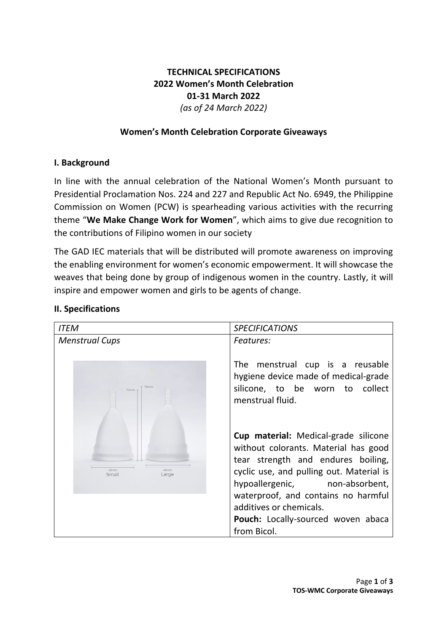# **TECHNICAL SPECIFICATIONS 2022 Women's Month Celebration 01-31 March 2022** *(as of 24 March 2022)*

## **Women's Month Celebration Corporate Giveaways**

### **I. Background**

In line with the annual celebration of the National Women's Month pursuant to Presidential Proclamation Nos. 224 and 227 and Republic Act No. 6949, the Philippine Commission on Women (PCW) is spearheading various activities with the recurring theme "**We Make Change Work for Women**", which aims to give due recognition to the contributions of Filipino women in our society

The GAD IEC materials that will be distributed will promote awareness on improving the enabling environment for women's economic empowerment. It will showcase the weaves that being done by group of indigenous women in the country. Lastly, it will inspire and empower women and girls to be agents of change.

# *ITEM SPECIFICATIONS Menstrual Cups Features:* The menstrual cup is a reusable hygiene device made of medical-grade silicone, to be worn to collect menstrual fluid. **Cup material:** Medical-grade silicone without colorants. Material has good tear strength and endures boiling, cyclic use, and pulling out. Material is Small Large hypoallergenic, non-absorbent, waterproof, and contains no harmful additives or chemicals. Pouch: Locally-sourced woven abaca from Bicol.

### **II. Specifications**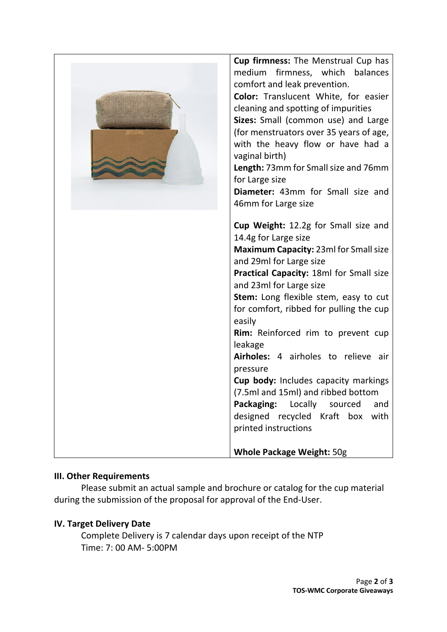| cleaning and spotting of impurities<br>Sizes: Small (common use) and Large<br>(for menstruators over 35 years of age,<br>with the heavy flow or have had a<br>vaginal birth)<br>Length: 73mm for Small size and 76mm<br>for Large size<br>Diameter: 43mm for Small size and<br>46mm for Large size<br>Cup Weight: 12.2g for Small size and<br>14.4g for Large size<br>Maximum Capacity: 23ml for Small size<br>and 29ml for Large size<br>Practical Capacity: 18ml for Small size<br>and 23ml for Large size<br>Stem: Long flexible stem, easy to cut<br>for comfort, ribbed for pulling the cup<br>easily<br>Rim: Reinforced rim to prevent cup<br>leakage<br>Airholes: 4 airholes to relieve air<br>pressure<br>Cup body: Includes capacity markings<br>(7.5ml and 15ml) and ribbed bottom<br>Packaging:<br>Locally<br>sourced<br>and<br>designed recycled Kraft box<br>with<br>printed instructions |
|--------------------------------------------------------------------------------------------------------------------------------------------------------------------------------------------------------------------------------------------------------------------------------------------------------------------------------------------------------------------------------------------------------------------------------------------------------------------------------------------------------------------------------------------------------------------------------------------------------------------------------------------------------------------------------------------------------------------------------------------------------------------------------------------------------------------------------------------------------------------------------------------------------|
| <b>Whole Package Weight: 50g</b>                                                                                                                                                                                                                                                                                                                                                                                                                                                                                                                                                                                                                                                                                                                                                                                                                                                                       |

### **III. Other Requirements**

Please submit an actual sample and brochure or catalog for the cup material during the submission of the proposal for approval of the End-User.

### **IV. Target Delivery Date**

Complete Delivery is 7 calendar days upon receipt of the NTP Time: 7: 00 AM- 5:00PM